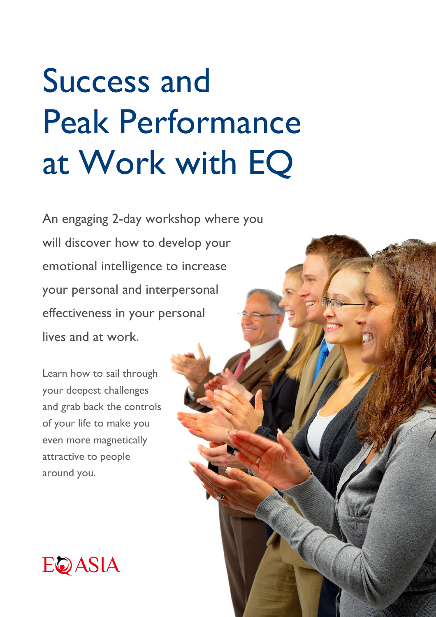# Success and Peak Performance at Work with EQ

An engaging 2-day workshop where you will discover how to develop your emotional intelligence to increase your personal and interpersonal effectiveness in your personal lives and at work.

Learn how to sail through your deepest challenges and grab back the controls of your life to make you even more magnetically attractive to people around you.

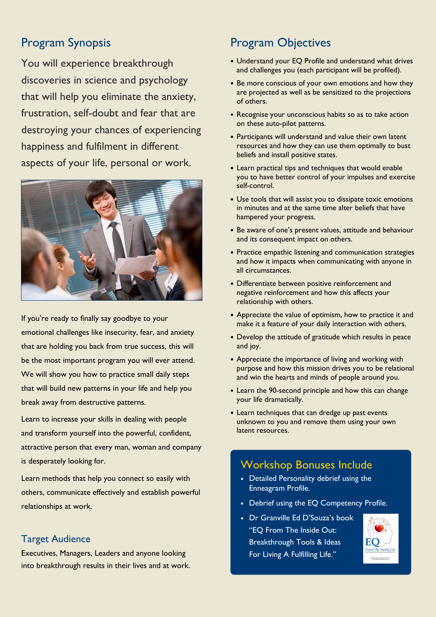# Program Synopsis

You will experience breakthrough discoveries in science and psychology that will help you eliminate the anxiety, frustration, self-doubt and fear that are destroying your chances of experiencing happiness and fulfilment in different aspects of your life, personal or work.



If you're ready to finally say goodbye to your emotional challenges like insecurity, fear, and anxiety that are holding you back from true success, this will be the most important program you will ever attend. We will show you how to practice small daily steps that will build new patterns in your life and help you break away from destructive patterns.

Learn to increase your skills in dealing with people and transform yourself into the powerful, confident, attractive person that every man, woman and company is desperately looking for.

Learn methods that help you connect so easily with others, communicate effectively and establish powerful relationships at work.

### Target Audience

Executives, Managers, Leaders and anyone looking into breakthrough results in their lives and at work.

## Program Objectives

- Understand your EQ Profile and understand what drives and challenges you (each participant will be profiled).
- Be more conscious of your own emotions and how they are projected as well as be sensitized to the projections of others.
- Recognise your unconscious habits so as to take action on these auto-pilot patterns.
- Participants will understand and value their own latent resources and how they can use them optimally to bust beliefs and install positive states.
- Learn practical tips and techniques that would enable you to have better control of your impulses and exercise self-control.
- Use tools that will assist you to dissipate toxic emotions in minutes and at the same time alter beliefs that have hampered your progress.
- Be aware of one's present values, attitude and behaviour and its consequent impact on others.
- Practice empathic listening and communication strategies and how it impacts when communicating with anyone in all circumstances.
- Differentiate between positive reinforcement and negative reinforcement and how this affects your relationship with others.
- Appreciate the value of optimism, how to practice it and make it a feature of your daily interaction with others.
- Develop the attitude of gratitude which results in peace and joy.
- Appreciate the importance of living and working with purpose and how this mission drives you to be relational and win the hearts and minds of people around you.
- Learn the 90-second principle and how this can change your life dramatically.
- Learn techniques that can dredge up past events unknown to you and remove them using your own latent resources.

# Workshop Bonuses Include

- Detailed Personality debrief using the Enneagram Profile.
- Debrief using the EQ Competency Profile.
- Dr Granville Ed D'Souza's book "EQ From The Inside Out: Breakthrough Tools & Ideas For Living A Fulfilling Life."